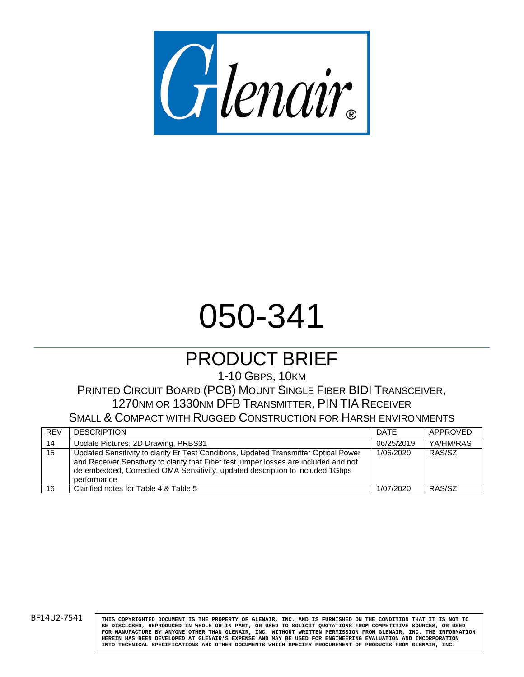

# 050-341

## PRODUCT BRIEF

1-10 GBPS, 10KM

### PRINTED CIRCUIT BOARD (PCB) MOUNT SINGLE FIBER BIDI TRANSCEIVER, 1270NM OR 1330NM DFB TRANSMITTER, PIN TIA RECEIVER

SMALL & COMPACT WITH RUGGED CONSTRUCTION FOR HARSH ENVIRONMENTS

| <b>REV</b> | <b>DESCRIPTION</b>                                                                                                                                                                                                                                                             | <b>DATE</b> | APPROVED  |
|------------|--------------------------------------------------------------------------------------------------------------------------------------------------------------------------------------------------------------------------------------------------------------------------------|-------------|-----------|
| 14         | Update Pictures, 2D Drawing, PRBS31                                                                                                                                                                                                                                            | 06/25/2019  | YA/HM/RAS |
| 15         | Updated Sensitivity to clarify Er Test Conditions, Updated Transmitter Optical Power<br>and Receiver Sensitivity to clarify that Fiber test jumper losses are included and not<br>de-embedded, Corrected OMA Sensitivity, updated description to included 1Gbps<br>performance | 1/06/2020   | RAS/SZ    |
| 16         | Clarified notes for Table 4 & Table 5                                                                                                                                                                                                                                          | 1/07/2020   | RAS/SZ    |

BF14U2-7541 **THIS COPYRIGHTED DOCUMENT IS THE PROPERTY OF GLENAIR, INC. AND IS FURNISHED ON THE CONDITION THAT IT IS NOT TO BE DISCLOSED, REPRODUCED IN WHOLE OR IN PART, OR USED TO SOLICIT QUOTATIONS FROM COMPETITIVE SOURCES, OR USED FOR MANUFACTURE BY ANYONE OTHER THAN GLENAIR, INC. WITHOUT WRITTEN PERMISSION FROM GLENAIR, INC. THE INFORMATION HEREIN HAS BEEN DEVELOPED AT GLENAIR'S EXPENSE AND MAY BE USED FOR ENGINEERING EVALUATION AND INCORPORATION INTO TECHNICAL SPECIFICATIONS AND OTHER DOCUMENTS WHICH SPECIFY PROCUREMENT OF PRODUCTS FROM GLENAIR, INC.**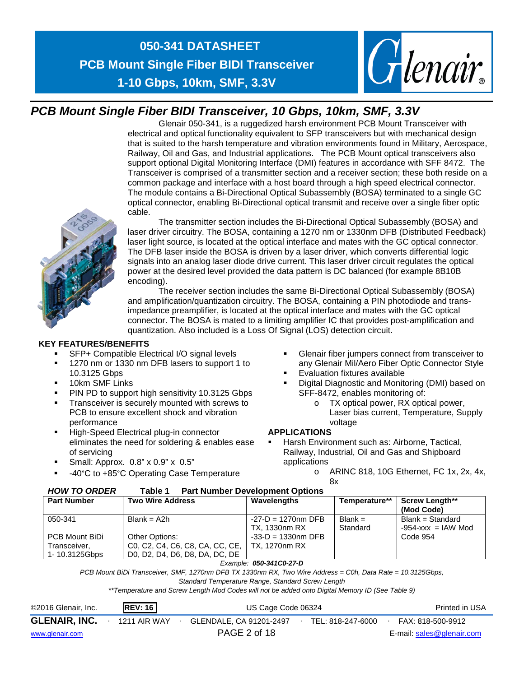



### *PCB Mount Single Fiber BIDI Transceiver, 10 Gbps, 10km, SMF, 3.3V*

Glenair 050-341, is a ruggedized harsh environment PCB Mount Transceiver with electrical and optical functionality equivalent to SFP transceivers but with mechanical design that is suited to the harsh temperature and vibration environments found in Military, Aerospace, Railway, Oil and Gas, and Industrial applications. The PCB Mount optical transceivers also support optional Digital Monitoring Interface (DMI) features in accordance with SFF 8472. The Transceiver is comprised of a transmitter section and a receiver section; these both reside on a common package and interface with a host board through a high speed electrical connector. The module contains a Bi-Directional Optical Subassembly (BOSA) terminated to a single GC optical connector, enabling Bi-Directional optical transmit and receive over a single fiber optic cable.



The transmitter section includes the Bi-Directional Optical Subassembly (BOSA) and laser driver circuitry. The BOSA, containing a 1270 nm or 1330nm DFB (Distributed Feedback) laser light source, is located at the optical interface and mates with the GC optical connector. The DFB laser inside the BOSA is driven by a laser driver, which converts differential logic signals into an analog laser diode drive current. This laser driver circuit regulates the optical power at the desired level provided the data pattern is DC balanced (for example 8B10B encoding).

The receiver section includes the same Bi-Directional Optical Subassembly (BOSA) and amplification/quantization circuitry. The BOSA, containing a PIN photodiode and transimpedance preamplifier, is located at the optical interface and mates with the GC optical connector. The BOSA is mated to a limiting amplifier IC that provides post-amplification and quantization. Also included is a Loss Of Signal (LOS) detection circuit.

#### **KEY FEATURES/BENEFITS**

- SFP+ Compatible Electrical I/O signal levels
- 1270 nm or 1330 nm DFB lasers to support 1 to 10.3125 Gbps
- **10km SMF Links**
- PIN PD to support high sensitivity 10.3125 Gbps
- Transceiver is securely mounted with screws to PCB to ensure excellent shock and vibration performance
- **High-Speed Electrical plug-in connector** eliminates the need for soldering & enables ease of servicing
- Small: Approx. 0.8" x 0.9" x 0.5"
- -40°C to +85°C Operating Case Temperature
- Glenair fiber jumpers connect from transceiver to any Glenair Mil/Aero Fiber Optic Connector Style
- Evaluation fixtures available
- Digital Diagnostic and Monitoring (DMI) based on SFF-8472, enables monitoring of:
	- o TX optical power, RX optical power, Laser bias current, Temperature, Supply voltage

### **APPLICATIONS**

- Harsh Environment such as: Airborne, Tactical, Railway, Industrial, Oil and Gas and Shipboard applications
	- o ARINC 818, 10G Ethernet, FC 1x, 2x, 4x, 8x

| ,,,,,,,,,,,,,,,,<br>auru I<br>T ALL NUMBER DEVEROPMENT ODIRUIS |                                 |                                       |                       |                                            |  |  |  |  |
|----------------------------------------------------------------|---------------------------------|---------------------------------------|-----------------------|--------------------------------------------|--|--|--|--|
| <b>Part Number</b>                                             | <b>Two Wire Address</b>         | Wavelengths                           | Temperature**         | <b>Screw Length**</b><br>(Mod Code)        |  |  |  |  |
| 050-341                                                        | $Blank = A2h$                   | $-27-D = 1270nm$ DFB<br>TX. 1330nm RX | $Blank =$<br>Standard | Blank = Standard<br>$-954 - xxx = IAW Mod$ |  |  |  |  |
| PCB Mount BiDi                                                 | Other Options:                  | $-33-D = 1330$ nm DFB                 |                       | Code 954                                   |  |  |  |  |
| Transceiver,                                                   | C0, C2, C4, C6, C8, CA, CC, CE, | TX. 1270nm RX                         |                       |                                            |  |  |  |  |
| 1-10.3125Gbps                                                  | D0, D2, D4, D6, D8, DA, DC, DE  |                                       |                       |                                            |  |  |  |  |
|                                                                |                                 | $Ftransl$ , and allenger $R$          |                       |                                            |  |  |  |  |

#### *HOW TO ORDER* **Table 1 Part Number Development Options**

*PCB Mount BiDi Transceiver, SMF, 1270nm DFB TX 1330nm RX, Two Wire Address = C0h, Data Rate = 10.3125Gbps,* 

*Standard Temperature Range, Standard Screw Length*

*\*\*Temperature and Screw Length Mod Codes will not be added onto Digital Memory ID (See Table 9)*

| ©2016 Glenair, Inc.  | <b>REV: 16</b> | US Cage Code 06324      | Printed in USA    |                           |
|----------------------|----------------|-------------------------|-------------------|---------------------------|
| <b>GLENAIR, INC.</b> | 1211 AIR WAY   | GLENDALE, CA 91201-2497 | TEL: 818-247-6000 | FAX: 818-500-9912         |
| www.glenair.com      |                | PAGE 2 of 18            |                   | E-mail: sales@glenair.com |

*Example: 050-341C0-27-D*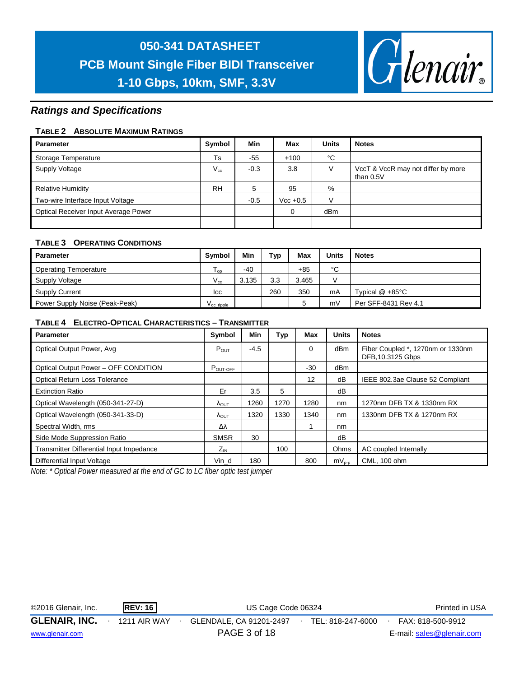

### *Ratings and Specifications*

#### **TABLE 2 ABSOLUTE MAXIMUM RATINGS**

| <b>Parameter</b>                     | Symbol    | Min    | Max        | Units           | <b>Notes</b>                                    |
|--------------------------------------|-----------|--------|------------|-----------------|-------------------------------------------------|
| Storage Temperature                  | Ts        | $-55$  | $+100$     | °C              |                                                 |
| Supply Voltage                       | $V_{cc}$  | $-0.3$ | 3.8        |                 | VccT & VccR may not differ by more<br>than 0.5V |
| <b>Relative Humidity</b>             | <b>RH</b> | 5      | 95         | %               |                                                 |
| Two-wire Interface Input Voltage     |           | $-0.5$ | $Vcc +0.5$ |                 |                                                 |
| Optical Receiver Input Average Power |           |        | $\Omega$   | dB <sub>m</sub> |                                                 |
|                                      |           |        |            |                 |                                                 |

#### **TABLE 3 OPERATING CONDITIONS**

| Parameter                      | Symbol                 | <b>Min</b> | Typ | Max   | Units | <b>Notes</b>         |
|--------------------------------|------------------------|------------|-----|-------|-------|----------------------|
| <b>Operating Temperature</b>   | l op                   | $-40$      |     | $+85$ | °C    |                      |
| Supply Voltage                 | $V_{cc}$               | 3.135      | 3.3 | 3.465 |       |                      |
| Supply Current                 | lcc                    |            | 260 | 350   | mA    | Typical $@ + 85°C$   |
| Power Supply Noise (Peak-Peak) | $V_{\text{cc}}$ ripple |            |     |       | mV    | Per SFF-8431 Rev 4.1 |

#### **TABLE 4 ELECTRO-OPTICAL CHARACTERISTICS – TRANSMITTER**

| <b>Parameter</b>                         | Symbol                 | Min    | Typ  | Max   | <b>Units</b> | <b>Notes</b>                                          |
|------------------------------------------|------------------------|--------|------|-------|--------------|-------------------------------------------------------|
| Optical Output Power, Avg                | $P_{OUT}$              | $-4.5$ |      | 0     | dBm          | Fiber Coupled *, 1270nm or 1330nm<br>DFB.10.3125 Gbps |
| Optical Output Power - OFF CONDITION     | $P_{\text{OUT-OFF}}$   |        |      | $-30$ | dBm          |                                                       |
| <b>Optical Return Loss Tolerance</b>     |                        |        |      | 12    | dB           | IEEE 802.3ae Clause 52 Compliant                      |
| <b>Extinction Ratio</b>                  | Er                     | 3.5    | 5    |       | dB           |                                                       |
| Optical Wavelength (050-341-27-D)        | $\Lambda_{\text{OUT}}$ | 1260   | 1270 | 1280  | nm           | 1270nm DFB TX & 1330nm RX                             |
| Optical Wavelength (050-341-33-D)        | <b>AOUT</b>            | 1320   | 1330 | 1340  | nm           | 1330nm DFB TX & 1270nm RX                             |
| Spectral Width, rms                      | Δλ                     |        |      |       | nm           |                                                       |
| Side Mode Suppression Ratio              | <b>SMSR</b>            | 30     |      |       | dB           |                                                       |
| Transmitter Differential Input Impedance | $Z_{IN}$               |        | 100  |       | Ohms         | AC coupled Internally                                 |
| Differential Input Voltage               | Vin d                  | 180    |      | 800   | $mV_{p-p}$   | CML, 100 ohm                                          |

*Note: \* Optical Power measured at the end of GC to LC fiber optic test jumper*

| ©2016 Glenair, Inc.  | <b>REV: 16</b>      | US Cage Code 06324      | Printed in USA    |                           |
|----------------------|---------------------|-------------------------|-------------------|---------------------------|
| <b>GLENAIR, INC.</b> | <b>1211 AIR WAY</b> | GLENDALE, CA 91201-2497 | TEL: 818-247-6000 | FAX: 818-500-9912         |
| www.glenair.com      |                     | PAGE 3 of 18            |                   | E-mail: sales@glenair.com |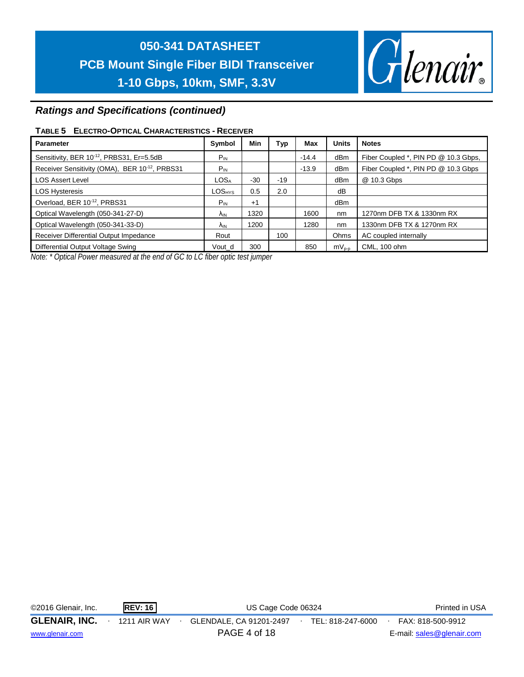

### *Ratings and Specifications (continued)*

#### **TABLE 5 ELECTRO-OPTICAL CHARACTERISTICS - RECEIVER**

| <b>Parameter</b>                                      | Symbol                        | Min   | Typ   | Max     | <b>Units</b> | <b>Notes</b>                         |
|-------------------------------------------------------|-------------------------------|-------|-------|---------|--------------|--------------------------------------|
| Sensitivity, BER 10 <sup>-12</sup> , PRBS31, Er=5.5dB | $P_{IN}$                      |       |       | $-14.4$ | dBm          | Fiber Coupled *, PIN PD @ 10.3 Gbps, |
| Receiver Sensitivity (OMA), BER 10-12, PRBS31         | $P_{IN}$                      |       |       | $-13.9$ | dBm          | Fiber Coupled *, PIN PD @ 10.3 Gbps  |
| <b>LOS Assert Level</b>                               | LOS <sub>A</sub>              | $-30$ | $-19$ |         | dBm          | @ 10.3 Gbps                          |
| <b>LOS Hysteresis</b>                                 | $\textsf{LOS}_{\textsf{HYS}}$ | 0.5   | 2.0   |         | dB           |                                      |
| Overload, BER 10-12, PRBS31                           | $P_{IN}$                      | $+1$  |       |         | dBm          |                                      |
| Optical Wavelength (050-341-27-D)                     | λ <sub>IN</sub>               | 1320  |       | 1600    | nm           | 1270nm DFB TX & 1330nm RX            |
| Optical Wavelength (050-341-33-D)                     | Λ <sub>IN</sub>               | 1200  |       | 1280    | nm           | 1330nm DFB TX & 1270nm RX            |
| Receiver Differential Output Impedance                | Rout                          |       | 100   |         | Ohms         | AC coupled internally                |
| Differential Output Voltage Swing                     | Vout d                        | 300   |       | 850     | $mV_{p-p}$   | CML, 100 ohm                         |

*Note: \* Optical Power measured at the end of GC to LC fiber optic test jumper* 

| ©2016 Glenair, Inc.  | <b>REV: 16</b> | US Cage Code 06324      | Printed in USA    |                           |
|----------------------|----------------|-------------------------|-------------------|---------------------------|
| <b>GLENAIR, INC.</b> | 1211 AIR WAY   | GLENDALE, CA 91201-2497 | TEL: 818-247-6000 | FAX: 818-500-9912         |
| www.glenair.com      |                | PAGE 4 of 18            |                   | E-mail: sales@glenair.com |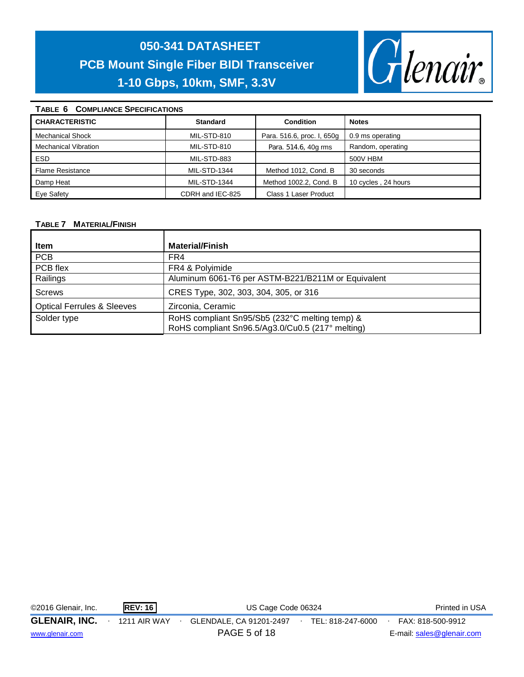

### **TABLE 6 COMPLIANCE SPECIFICATIONS**

| OUINI LIARUL UI LUII IUATIUITU |                     |                            |                     |  |  |  |  |  |  |
|--------------------------------|---------------------|----------------------------|---------------------|--|--|--|--|--|--|
| <b>CHARACTERISTIC</b>          | <b>Standard</b>     | Condition                  | <b>Notes</b>        |  |  |  |  |  |  |
| <b>Mechanical Shock</b>        | MIL-STD-810         | Para. 516.6, proc. I, 650g | 0.9 ms operating    |  |  |  |  |  |  |
| <b>Mechanical Vibration</b>    | MIL-STD-810         | Para. 514.6, 40g rms       | Random, operating   |  |  |  |  |  |  |
| <b>ESD</b>                     | MIL-STD-883         |                            | 500V HBM            |  |  |  |  |  |  |
| <b>Flame Resistance</b>        | <b>MIL-STD-1344</b> | Method 1012, Cond. B       | 30 seconds          |  |  |  |  |  |  |
| Damp Heat                      | <b>MIL-STD-1344</b> | Method 1002.2, Cond. B     | 10 cycles, 24 hours |  |  |  |  |  |  |
| Eye Safety                     | CDRH and IEC-825    | Class 1 Laser Product      |                     |  |  |  |  |  |  |

#### **TABLE 7 MATERIAL/FINISH**

| Item                                  | <b>Material/Finish</b>                                                                             |
|---------------------------------------|----------------------------------------------------------------------------------------------------|
| <b>PCB</b>                            | FR4                                                                                                |
| PCB flex                              | FR4 & Polyimide                                                                                    |
| Railings                              | Aluminum 6061-T6 per ASTM-B221/B211M or Equivalent                                                 |
| <b>Screws</b>                         | CRES Type, 302, 303, 304, 305, or 316                                                              |
| <b>Optical Ferrules &amp; Sleeves</b> | Zirconia, Ceramic                                                                                  |
| Solder type                           | RoHS compliant Sn95/Sb5 (232°C melting temp) &<br>RoHS compliant Sn96.5/Ag3.0/Cu0.5 (217° melting) |

| ©2016 Glenair, Inc.  | <b>REV: 16</b>      | Printed in USA          |                   |                           |
|----------------------|---------------------|-------------------------|-------------------|---------------------------|
| <b>GLENAIR, INC.</b> | <b>1211 AIR WAY</b> | GLENDALE, CA 91201-2497 | TEL: 818-247-6000 | FAX: 818-500-9912         |
| www.glenair.com      |                     | PAGE 5 of 18            |                   | E-mail: sales@glenair.com |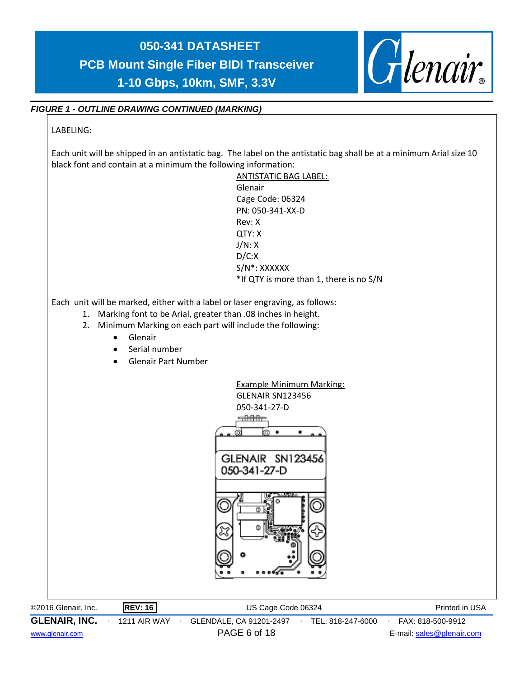

### *FIGURE 1 - OUTLINE DRAWING CONTINUED (MARKING)*

### LABELING:

Each unit will be shipped in an antistatic bag. The label on the antistatic bag shall be at a minimum Arial size 10 black font and contain at a minimum the following information:



©2016 Glenair, Inc. **REV: 16** US Cage Code 06324 Printed in USA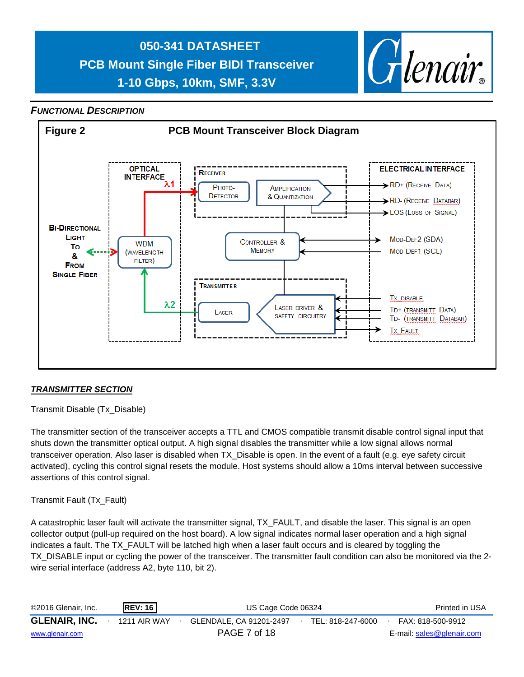

### *FUNCTIONAL DESCRIPTION*



### *TRANSMITTER SECTION*

Transmit Disable (Tx\_Disable)

The transmitter section of the transceiver accepts a TTL and CMOS compatible transmit disable control signal input that shuts down the transmitter optical output. A high signal disables the transmitter while a low signal allows normal transceiver operation. Also laser is disabled when TX\_Disable is open. In the event of a fault (e.g. eye safety circuit activated), cycling this control signal resets the module. Host systems should allow a 10ms interval between successive assertions of this control signal.

#### Transmit Fault (Tx\_Fault)

A catastrophic laser fault will activate the transmitter signal, TX\_FAULT, and disable the laser. This signal is an open collector output (pull-up required on the host board). A low signal indicates normal laser operation and a high signal indicates a fault. The TX\_FAULT will be latched high when a laser fault occurs and is cleared by toggling the TX DISABLE input or cycling the power of the transceiver. The transmitter fault condition can also be monitored via the 2wire serial interface (address A2, byte 110, bit 2).

| ©2016 Glenair, Inc.  | REV: 16      | US Cage Code 06324      | Printed in USA    |                           |
|----------------------|--------------|-------------------------|-------------------|---------------------------|
| <b>GLENAIR, INC.</b> | 1211 AIR WAY | GLENDALE. CA 91201-2497 | TEL: 818-247-6000 | FAX: 818-500-9912         |
| www.glenair.com      |              | PAGE 7 of 18            |                   | E-mail: sales@glenair.com |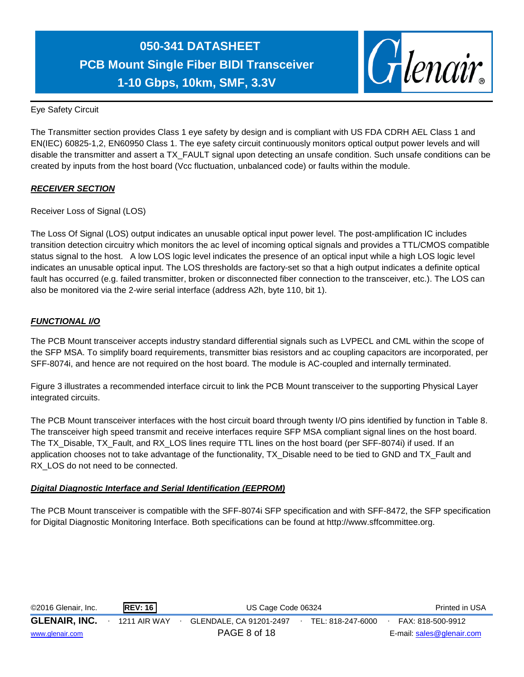

Eye Safety Circuit

The Transmitter section provides Class 1 eye safety by design and is compliant with US FDA CDRH AEL Class 1 and EN(IEC) 60825-1,2, EN60950 Class 1. The eye safety circuit continuously monitors optical output power levels and will disable the transmitter and assert a TX\_FAULT signal upon detecting an unsafe condition. Such unsafe conditions can be created by inputs from the host board (Vcc fluctuation, unbalanced code) or faults within the module.

### *RECEIVER SECTION*

Receiver Loss of Signal (LOS)

The Loss Of Signal (LOS) output indicates an unusable optical input power level. The post-amplification IC includes transition detection circuitry which monitors the ac level of incoming optical signals and provides a TTL/CMOS compatible status signal to the host. A low LOS logic level indicates the presence of an optical input while a high LOS logic level indicates an unusable optical input. The LOS thresholds are factory-set so that a high output indicates a definite optical fault has occurred (e.g. failed transmitter, broken or disconnected fiber connection to the transceiver, etc.). The LOS can also be monitored via the 2-wire serial interface (address A2h, byte 110, bit 1).

### *FUNCTIONAL I/O*

The PCB Mount transceiver accepts industry standard differential signals such as LVPECL and CML within the scope of the SFP MSA. To simplify board requirements, transmitter bias resistors and ac coupling capacitors are incorporated, per SFF-8074i, and hence are not required on the host board. The module is AC-coupled and internally terminated.

Figure 3 illustrates a recommended interface circuit to link the PCB Mount transceiver to the supporting Physical Layer integrated circuits.

The PCB Mount transceiver interfaces with the host circuit board through twenty I/O pins identified by function in Table 8. The transceiver high speed transmit and receive interfaces require SFP MSA compliant signal lines on the host board. The TX\_Disable, TX\_Fault, and RX\_LOS lines require TTL lines on the host board (per SFF-8074i) if used. If an application chooses not to take advantage of the functionality, TX\_Disable need to be tied to GND and TX\_Fault and RX LOS do not need to be connected.

#### *Digital Diagnostic Interface and Serial Identification (EEPROM)*

The PCB Mount transceiver is compatible with the SFF-8074i SFP specification and with SFF-8472, the SFP specification for Digital Diagnostic Monitoring Interface. Both specifications can be found at http://www.sffcommittee.org.

| ©2016 Glenair, Inc.  | <b>REV: 16</b>      | US Cage Code 06324      | Printed in USA    |                           |  |
|----------------------|---------------------|-------------------------|-------------------|---------------------------|--|
| <b>GLENAIR, INC.</b> | <b>1211 AIR WAY</b> | GLENDALE, CA 91201-2497 | TEL: 818-247-6000 | FAX: 818-500-9912         |  |
| www.glenair.com      |                     | PAGE 8 of 18            |                   | E-mail: sales@glenair.com |  |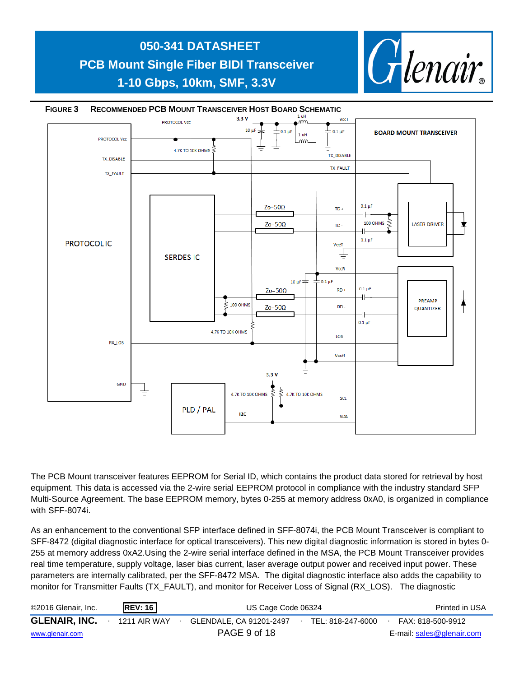

The PCB Mount transceiver features EEPROM for Serial ID, which contains the product data stored for retrieval by host equipment. This data is accessed via the 2-wire serial EEPROM protocol in compliance with the industry standard SFP Multi-Source Agreement. The base EEPROM memory, bytes 0-255 at memory address 0xA0, is organized in compliance with SFF-8074i.

As an enhancement to the conventional SFP interface defined in SFF-8074i, the PCB Mount Transceiver is compliant to SFF-8472 (digital diagnostic interface for optical transceivers). This new digital diagnostic information is stored in bytes 0- 255 at memory address 0xA2.Using the 2-wire serial interface defined in the MSA, the PCB Mount Transceiver provides real time temperature, supply voltage, laser bias current, laser average output power and received input power. These parameters are internally calibrated, per the SFF-8472 MSA. The digital diagnostic interface also adds the capability to monitor for Transmitter Faults (TX\_FAULT), and monitor for Receiver Loss of Signal (RX\_LOS). The diagnostic

| ©2016 Glenair, Inc.  | <b>REV: 16</b>      | US Cage Code 06324      | Printed in USA    |                           |
|----------------------|---------------------|-------------------------|-------------------|---------------------------|
| <b>GLENAIR, INC.</b> | <b>1211 AIR WAY</b> | GLENDALE, CA 91201-2497 | TEL: 818-247-6000 | FAX: 818-500-9912         |
| www.glenair.com      |                     | PAGE 9 of 18            |                   | E-mail: sales@glenair.com |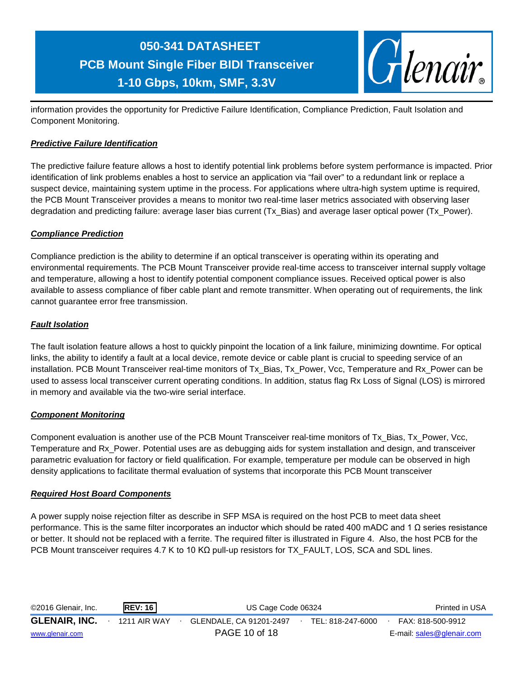

information provides the opportunity for Predictive Failure Identification, Compliance Prediction, Fault Isolation and Component Monitoring.

### *Predictive Failure Identification*

The predictive failure feature allows a host to identify potential link problems before system performance is impacted. Prior identification of link problems enables a host to service an application via "fail over" to a redundant link or replace a suspect device, maintaining system uptime in the process. For applications where ultra-high system uptime is required, the PCB Mount Transceiver provides a means to monitor two real-time laser metrics associated with observing laser degradation and predicting failure: average laser bias current (Tx\_Bias) and average laser optical power (Tx\_Power).

### *Compliance Prediction*

Compliance prediction is the ability to determine if an optical transceiver is operating within its operating and environmental requirements. The PCB Mount Transceiver provide real-time access to transceiver internal supply voltage and temperature, allowing a host to identify potential component compliance issues. Received optical power is also available to assess compliance of fiber cable plant and remote transmitter. When operating out of requirements, the link cannot guarantee error free transmission.

### *Fault Isolation*

The fault isolation feature allows a host to quickly pinpoint the location of a link failure, minimizing downtime. For optical links, the ability to identify a fault at a local device, remote device or cable plant is crucial to speeding service of an installation. PCB Mount Transceiver real-time monitors of Tx\_Bias, Tx\_Power, Vcc, Temperature and Rx\_Power can be used to assess local transceiver current operating conditions. In addition, status flag Rx Loss of Signal (LOS) is mirrored in memory and available via the two-wire serial interface.

### *Component Monitoring*

Component evaluation is another use of the PCB Mount Transceiver real-time monitors of Tx\_Bias, Tx\_Power, Vcc, Temperature and Rx\_Power. Potential uses are as debugging aids for system installation and design, and transceiver parametric evaluation for factory or field qualification. For example, temperature per module can be observed in high density applications to facilitate thermal evaluation of systems that incorporate this PCB Mount transceiver

### *Required Host Board Components*

A power supply noise rejection filter as describe in SFP MSA is required on the host PCB to meet data sheet performance. This is the same filter incorporates an inductor which should be rated 400 mADC and 1 Ω series resistance or better. It should not be replaced with a ferrite. The required filter is illustrated in Figure 4. Also, the host PCB for the PCB Mount transceiver requires 4.7 K to 10 KΩ pull-up resistors for TX\_FAULT, LOS, SCA and SDL lines.

| ©2016 Glenair, Inc.  | <b>REV: 16</b> | US Cage Code 06324      | Printed in USA    |                           |
|----------------------|----------------|-------------------------|-------------------|---------------------------|
| <b>GLENAIR, INC.</b> | 1211 AIR WAY   | GLENDALE, CA 91201-2497 | TEL: 818-247-6000 | FAX: 818-500-9912         |
| www.glenair.com      |                | PAGE 10 of 18           |                   | E-mail: sales@glenair.com |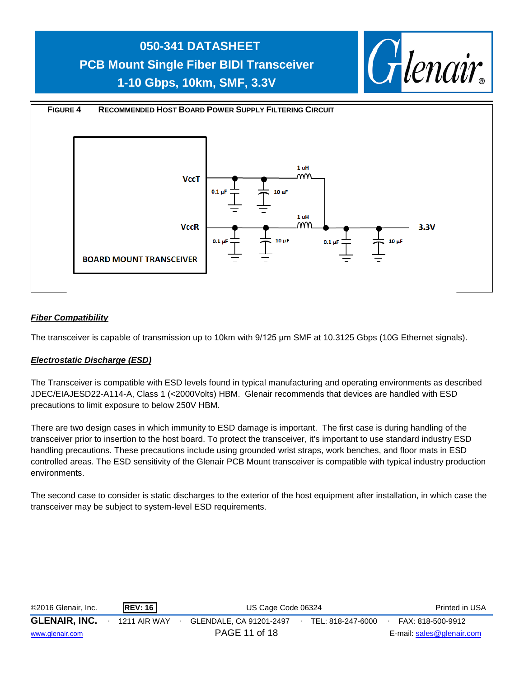



### *Fiber Compatibility*

The transceiver is capable of transmission up to 10km with 9/125 μm SMF at 10.3125 Gbps (10G Ethernet signals).

#### *Electrostatic Discharge (ESD)*

The Transceiver is compatible with ESD levels found in typical manufacturing and operating environments as described JDEC/EIAJESD22-A114-A, Class 1 (<2000Volts) HBM. Glenair recommends that devices are handled with ESD precautions to limit exposure to below 250V HBM.

There are two design cases in which immunity to ESD damage is important. The first case is during handling of the transceiver prior to insertion to the host board. To protect the transceiver, it's important to use standard industry ESD handling precautions. These precautions include using grounded wrist straps, work benches, and floor mats in ESD controlled areas. The ESD sensitivity of the Glenair PCB Mount transceiver is compatible with typical industry production environments.

The second case to consider is static discharges to the exterior of the host equipment after installation, in which case the transceiver may be subject to system-level ESD requirements.

| ©2016 Glenair, Inc.  | <b>REV: 16</b> | US Cage Code 06324      | Printed in USA    |                           |
|----------------------|----------------|-------------------------|-------------------|---------------------------|
| <b>GLENAIR, INC.</b> | 1211 AIR WAY   | GLENDALE, CA 91201-2497 | TEL: 818-247-6000 | FAX: 818-500-9912         |
| www.glenair.com      |                | PAGE 11 of 18           |                   | E-mail: sales@glenair.com |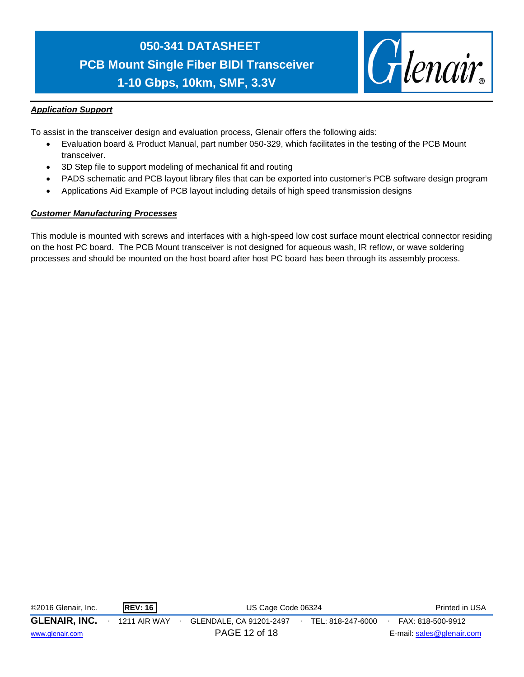

### *Application Support*

To assist in the transceiver design and evaluation process, Glenair offers the following aids:

- Evaluation board & Product Manual, part number 050-329, which facilitates in the testing of the PCB Mount transceiver.
- 3D Step file to support modeling of mechanical fit and routing
- PADS schematic and PCB layout library files that can be exported into customer's PCB software design program
- Applications Aid Example of PCB layout including details of high speed transmission designs

#### *Customer Manufacturing Processes*

This module is mounted with screws and interfaces with a high-speed low cost surface mount electrical connector residing on the host PC board. The PCB Mount transceiver is not designed for aqueous wash, IR reflow, or wave soldering processes and should be mounted on the host board after host PC board has been through its assembly process.

| ©2016 Glenair, Inc.  | <b>REV: 16</b> | US Cage Code 06324      | Printed in USA    |                           |
|----------------------|----------------|-------------------------|-------------------|---------------------------|
| <b>GLENAIR, INC.</b> | 1211 AIR WAY   | GLENDALE, CA 91201-2497 | TEL: 818-247-6000 | FAX: 818-500-9912         |
| www.glenair.com      |                | PAGE 12 of 18           |                   | E-mail: sales@glenair.com |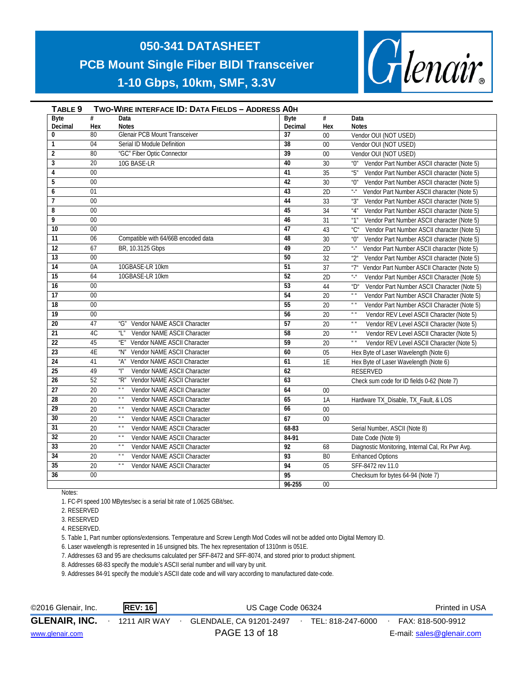

| TABLE <sub>9</sub> |                 | <b>TWO-WIRE INTERFACE ID: DATA FIELDS - ADDRESS AOH</b>            |                 |                |                                                                                    |
|--------------------|-----------------|--------------------------------------------------------------------|-----------------|----------------|------------------------------------------------------------------------------------|
| <b>Byte</b>        | #               | Data                                                               | <b>B</b> vte    | #              | Data                                                                               |
| Decimal            | Hex             | <b>Notes</b>                                                       | Decimal         | Hex            | <b>Notes</b>                                                                       |
| $\bf{0}$           | 80              | <b>Glenair PCB Mount Transceiver</b>                               | $\overline{37}$ | $00\,$         | Vendor OUI (NOT USED)                                                              |
| $\mathbf{1}$       | 04              | Serial ID Module Definition                                        | $\overline{38}$ | 00             | Vendor OUI (NOT USED)                                                              |
| $\overline{2}$     | 80              | "GC" Fiber Optic Connector                                         | $\overline{39}$ | 00             | Vendor OUI (NOT USED)                                                              |
| 3                  | 20              | 10G BASE-LR                                                        | 40              | 30             | Vendor Part Number ASCII character (Note 5)<br>"በ"                                 |
| 4                  | $\overline{00}$ |                                                                    | 41              | 35             | "5"<br>Vendor Part Number ASCII character (Note 5)                                 |
| 5                  | 00              |                                                                    | $\overline{42}$ | 30             | Vendor Part Number ASCII character (Note 5)<br>"0"                                 |
| 6                  | 01              |                                                                    | $\overline{43}$ | 2D             | $u_\perp u$<br>Vendor Part Number ASCII character (Note 5)                         |
| $\overline{1}$     | $00\,$          |                                                                    | 44              | 33             | "3"<br>Vendor Part Number ASCII character (Note 5)                                 |
| 8                  | $\overline{00}$ |                                                                    | 45              | 34             | "4"<br>Vendor Part Number ASCII character (Note 5)                                 |
| 9                  | $00\,$          |                                                                    | 46              | 31             | Vendor Part Number ASCII character (Note 5)<br>"1"                                 |
| 10                 | $00\,$          |                                                                    | $\overline{47}$ | 43             | Vendor Part Number ASCII character (Note 5)<br>"C"                                 |
| 11                 | 06              | Compatible with 64/66B encoded data                                | 48              | 30             | Vendor Part Number ASCII character (Note 5)<br>"0"                                 |
| $\overline{12}$    | 67              | BR, 10.3125 Gbps                                                   | 49              | 2D             | $\mathbf{u}_\perp \mathbf{u}_\perp$<br>Vendor Part Number ASCII character (Note 5) |
| 13                 | 0 <sub>0</sub>  |                                                                    | 50              | 32             | "2"<br>Vendor Part Number ASCII character (Note 5)                                 |
| 14                 | 0A              | 10GBASE-LR 10km                                                    | 51              | 37             | "7"<br>Vendor Part Number ASCII Character (Note 5)                                 |
| $\overline{15}$    | 64              | 10GBASE-LR 10km                                                    | 52              | 2D             | $u\_u$<br>Vendor Part Number ASCII Character (Note 5)                              |
| $\overline{16}$    | 00 <sup>1</sup> |                                                                    | 53              | 44             | Vendor Part Number ASCII Character (Note 5)<br>$^{\prime\prime}$                   |
| 17                 | $00\,$          |                                                                    | 54              | 20             | $\boldsymbol{u}$ $\boldsymbol{u}$<br>Vendor Part Number ASCII Character (Note 5)   |
| $\overline{18}$    | $\overline{00}$ |                                                                    | 55              | 20             | $\boldsymbol{u}$<br>Vendor Part Number ASCII Character (Note 5)                    |
| 19                 | 00              |                                                                    | 56              | 20             | $\boldsymbol{u}$ $\boldsymbol{u}$<br>Vendor REV Level ASCII Character (Note 5)     |
| 20                 | 47              | "G" Vendor NAME ASCII Character                                    | 57              | 20             | $\boldsymbol{u}$ $\boldsymbol{u}$<br>Vendor REV Level ASCII Character (Note 5)     |
| 21                 | 4C              | $^{\prime\prime}$ $^{\prime\prime}$<br>Vendor NAME ASCII Character | 58              | 20             | $\boldsymbol{u}$ $\boldsymbol{u}$<br>Vendor REV Level ASCII Character (Note 5)     |
| $\overline{22}$    | 45              | Vendor NAME ASCII Character<br>"F"                                 | 59              | 20             | $\mathbf{u}$<br>Vendor REV Level ASCII Character (Note 5)                          |
| 23                 | 4E              | "N" Vendor NAME ASCII Character                                    | 60              | 05             | Hex Byte of Laser Wavelength (Note 6)                                              |
| $\overline{24}$    | 41              | Vendor NAME ASCII Character<br>"A"                                 | 61              | 1E             | Hex Byte of Laser Wavelength (Note 6)                                              |
| 25                 | 49              | Vendor NAME ASCII Character<br>$^u$  "                             | 62              |                | <b>RESERVED</b>                                                                    |
| 26                 | 52              | Vendor NAME ASCII Character<br>"R"                                 | 63              |                | Check sum code for ID fields 0-62 (Note 7)                                         |
| 27                 | 20              | $\boldsymbol{u}$ . $\boldsymbol{u}$<br>Vendor NAME ASCII Character | 64              | $00\,$         |                                                                                    |
| 28                 | 20              | $\boldsymbol{u}$ $\boldsymbol{u}$<br>Vendor NAME ASCII Character   | 65              | 1A             | Hardware TX_Disable, TX_Fault, & LOS                                               |
| 29                 | 20              | $\boldsymbol{u}$ $\boldsymbol{u}$<br>Vendor NAME ASCII Character   | 66              | $00\,$         |                                                                                    |
| 30                 | 20              | $\boldsymbol{u}$ $\boldsymbol{u}$<br>Vendor NAME ASCII Character   | 67              | $00\,$         |                                                                                    |
| $\overline{31}$    | 20              | $\boldsymbol{u}$ $\boldsymbol{u}$<br>Vendor NAME ASCII Character   | 68-83           |                | Serial Number, ASCII (Note 8)                                                      |
| $\overline{32}$    | 20              | $\boldsymbol{u}$ $\boldsymbol{u}$<br>Vendor NAME ASCII Character   | 84-91           |                | Date Code (Note 9)                                                                 |
| 33                 | 20              | $\boldsymbol{u}$ . $\boldsymbol{u}$<br>Vendor NAME ASCII Character | 92              | 68             | Diagnostic Monitoring, Internal Cal, Rx Pwr Avg.                                   |
| 34                 | 20              | $\boldsymbol{u}$ $\boldsymbol{u}$<br>Vendor NAME ASCII Character   | 93              | B <sub>0</sub> | <b>Enhanced Options</b>                                                            |
| 35                 | 20              | $\boldsymbol{u}$ $\boldsymbol{u}$<br>Vendor NAME ASCII Character   | 94              | 05             | SFF-8472 rev 11.0                                                                  |
| $\overline{36}$    | $00\,$          |                                                                    | 95              |                | Checksum for bytes 64-94 (Note 7)                                                  |
|                    |                 |                                                                    | $96 - 255$      | $00\,$         |                                                                                    |

Notes:

1. FC-PI speed 100 MBytes/sec is a serial bit rate of 1.0625 GBit/sec.

2. RESERVED

3. RESERVED

4. RESERVED.

5. Table 1, Part number options/extensions. Temperature and Screw Length Mod Codes will not be added onto Digital Memory ID.

6. Laser wavelength is represented in 16 unsigned bits. The hex representation of 1310nm is 051E.

7. Addresses 63 and 95 are checksums calculated per SFF-8472 and SFF-8074, and stored prior to product shipment.

8. Addresses 68-83 specify the module's ASCII serial number and will vary by unit.

9. Addresses 84-91 specify the module's ASCII date code and will vary according to manufactured date-code.

| ©2016 Glenair, Inc.  | <b>REV: 16</b> | US Cage Code 06324      | Printed in USA    |                           |  |
|----------------------|----------------|-------------------------|-------------------|---------------------------|--|
| <b>GLENAIR, INC.</b> | 1211 AIR WAY   | GLENDALE, CA 91201-2497 | TEL: 818-247-6000 | FAX: 818-500-9912         |  |
| www.glenair.com      |                | PAGE 13 of 18           |                   | E-mail: sales@glenair.com |  |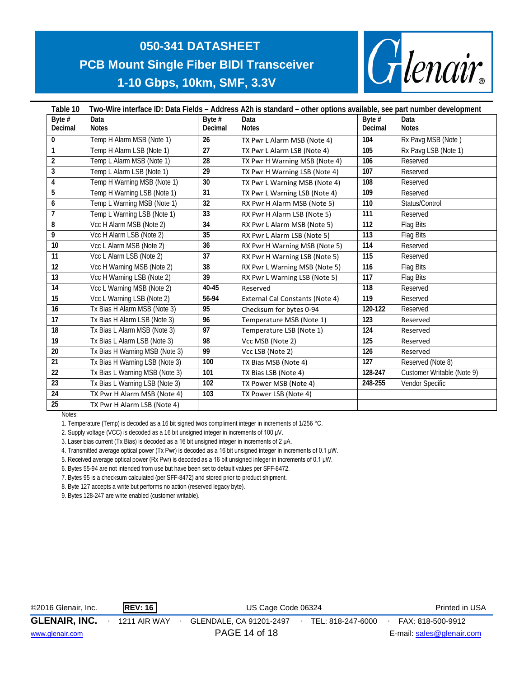

| Table 10        | Two-Wire interface ID: Data Fields – Address A2h is standard – other options available, see part number development |                 |                                        |          |                            |  |  |  |
|-----------------|---------------------------------------------------------------------------------------------------------------------|-----------------|----------------------------------------|----------|----------------------------|--|--|--|
| Byte $#$        | Data                                                                                                                | Byte $#$        | Data                                   | Byte $#$ | Data                       |  |  |  |
| Decimal         | <b>Notes</b>                                                                                                        | Decimal         | <b>Notes</b>                           | Decimal  | <b>Notes</b>               |  |  |  |
| $\mathbf{0}$    | Temp H Alarm MSB (Note 1)                                                                                           | 26              | TX Pwr L Alarm MSB (Note 4)            | 104      | Rx Pavg MSB (Note)         |  |  |  |
| 1               | Temp H Alarm LSB (Note 1)                                                                                           | 27              | TX Pwr L Alarm LSB (Note 4)            | 105      | Rx Pavg LSB (Note 1)       |  |  |  |
| $\overline{2}$  | Temp L Alarm MSB (Note 1)                                                                                           | 28              | TX Pwr H Warning MSB (Note 4)          | 106      | Reserved                   |  |  |  |
| 3               | Temp L Alarm LSB (Note 1)                                                                                           | 29              | TX Pwr H Warning LSB (Note 4)          | 107      | Reserved                   |  |  |  |
| 4               | Temp H Warning MSB (Note 1)                                                                                         | 30              | TX Pwr L Warning MSB (Note 4)          | 108      | Reserved                   |  |  |  |
| 5               | Temp H Warning LSB (Note 1)                                                                                         | 31              | TX Pwr L Warning LSB (Note 4)          | 109      | Reserved                   |  |  |  |
| 6               | Temp L Warning MSB (Note 1)                                                                                         | 32              | RX Pwr H Alarm MSB (Note 5)            | 110      | Status/Control             |  |  |  |
| 7               | Temp L Warning LSB (Note 1)                                                                                         | $\overline{33}$ | RX Pwr H Alarm LSB (Note 5)            | 111      | Reserved                   |  |  |  |
| 8               | Vcc H Alarm MSB (Note 2)                                                                                            | 34              | RX Pwr L Alarm MSB (Note 5)            | 112      | Flag Bits                  |  |  |  |
| 9               | Vcc H Alarm LSB (Note 2)                                                                                            | 35              | RX Pwr L Alarm LSB (Note 5)            | 113      | Flag Bits                  |  |  |  |
| 10 <sup>°</sup> | Vcc L Alarm MSB (Note 2)                                                                                            | 36              | RX Pwr H Warning MSB (Note 5)          | 114      | Reserved                   |  |  |  |
| 11              | Vcc L Alarm LSB (Note 2)                                                                                            | 37              | RX Pwr H Warning LSB (Note 5)          | 115      | Reserved                   |  |  |  |
| 12              | Vcc H Warning MSB (Note 2)                                                                                          | 38              | RX Pwr L Warning MSB (Note 5)          | 116      | Flag Bits                  |  |  |  |
| 13              | Vcc H Warning LSB (Note 2)                                                                                          | 39              | RX Pwr L Warning LSB (Note 5)          | 117      | Flag Bits                  |  |  |  |
| 14              | Vcc L Warning MSB (Note 2)                                                                                          | 40-45           | Reserved                               | 118      | Reserved                   |  |  |  |
| 15              | Vcc L Warning LSB (Note 2)                                                                                          | 56-94           | <b>External Cal Constants (Note 4)</b> | 119      | Reserved                   |  |  |  |
| 16              | Tx Bias H Alarm MSB (Note 3)                                                                                        | 95              | Checksum for bytes 0-94                | 120-122  | Reserved                   |  |  |  |
| 17              | Tx Bias H Alarm LSB (Note 3)                                                                                        | 96              | Temperature MSB (Note 1)               | 123      | Reserved                   |  |  |  |
| 18              | Tx Bias L Alarm MSB (Note 3)                                                                                        | 97              | Temperature LSB (Note 1)               | 124      | Reserved                   |  |  |  |
| 19              | Tx Bias L Alarm LSB (Note 3)                                                                                        | 98              | Vcc MSB (Note 2)                       | 125      | Reserved                   |  |  |  |
| 20              | Tx Bias H Warning MSB (Note 3)                                                                                      | 99              | Vcc LSB (Note 2)                       | 126      | Reserved                   |  |  |  |
| 21              | Tx Bias H Warning LSB (Note 3)                                                                                      | 100             | TX Bias MSB (Note 4)                   | 127      | Reserved (Note 8)          |  |  |  |
| 22              | Tx Bias L Warning MSB (Note 3)                                                                                      | 101             | TX Bias LSB (Note 4)                   | 128-247  | Customer Writable (Note 9) |  |  |  |
| 23              | Tx Bias L Warning LSB (Note 3)                                                                                      | 102             | TX Power MSB (Note 4)                  | 248-255  | Vendor Specific            |  |  |  |
| 24              | TX Pwr H Alarm MSB (Note 4)                                                                                         | 103             | TX Power LSB (Note 4)                  |          |                            |  |  |  |
| 25              | TX Pwr H Alarm LSB (Note 4)                                                                                         |                 |                                        |          |                            |  |  |  |

Notes:

1. Temperature (Temp) is decoded as a 16 bit signed twos compliment integer in increments of 1/256 °C.

2. Supply voltage (VCC) is decoded as a 16 bit unsigned integer in increments of 100 μV.

3. Laser bias current (Tx Bias) is decoded as a 16 bit unsigned integer in increments of 2 μA.

4. Transmitted average optical power (Tx Pwr) is decoded as a 16 bit unsigned integer in increments of 0.1 μW.

5. Received average optical power (Rx Pwr) is decoded as a 16 bit unsigned integer in increments of 0.1 μW.

6. Bytes 55-94 are not intended from use but have been set to default values per SFF-8472.

7. Bytes 95 is a checksum calculated (per SFF-8472) and stored prior to product shipment.

8. Byte 127 accepts a write but performs no action (reserved legacy byte).

9. Bytes 128-247 are write enabled (customer writable).

| ©2016 Glenair, Inc.  | <b>REV: 16</b> | US Cage Code 06324      |                   | Printed in USA            |
|----------------------|----------------|-------------------------|-------------------|---------------------------|
| <b>GLENAIR, INC.</b> | 1211 AIR WAY   | GLENDALE, CA 91201-2497 | TEL: 818-247-6000 | FAX: 818-500-9912         |
| www.glenair.com      |                | PAGE 14 of 18           |                   | E-mail: sales@glenair.com |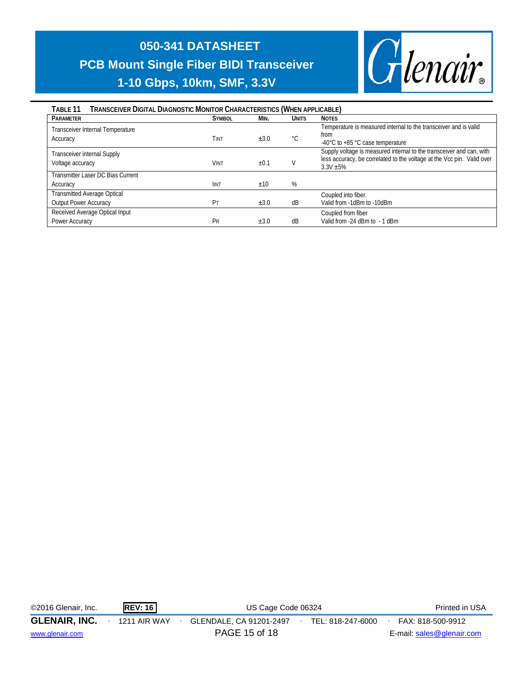

| TRANSCEIVER DIGITAL DIAGNOSTIC MONITOR CHARACTERISTICS (WHEN APPLICABLE)<br>TABLE 11 |               |           |              |                                                                                                                                                               |  |  |  |  |
|--------------------------------------------------------------------------------------|---------------|-----------|--------------|---------------------------------------------------------------------------------------------------------------------------------------------------------------|--|--|--|--|
| <b>PARAMETER</b>                                                                     | <b>SYMBOL</b> | MIN.      | <b>UNITS</b> | <b>NOTES</b>                                                                                                                                                  |  |  |  |  |
| Transceiver Internal Temperature<br>Accuracy                                         | Tint          | $\pm 3.0$ | °C           | Temperature is measured internal to the transceiver and is valid<br>from<br>-40°C to +85 °C case temperature                                                  |  |  |  |  |
| <b>Transceiver internal Supply</b><br>Voltage accuracy                               | <b>VINT</b>   | ±0.1      |              | Supply voltage is measured internal to the transceiver and can, with<br>less accuracy, be correlated to the voltage at the Vcc pin. Valid over<br>$3.3V + 5%$ |  |  |  |  |
| Transmitter Laser DC Bias Current                                                    |               |           |              |                                                                                                                                                               |  |  |  |  |
| Accuracy                                                                             | <b>IINT</b>   | ±10       | %            |                                                                                                                                                               |  |  |  |  |
| <b>Transmitted Average Optical</b>                                                   |               |           |              | Coupled into fiber.                                                                                                                                           |  |  |  |  |
| <b>Output Power Accuracy</b>                                                         | Pт            | $\pm 3.0$ | dB           | Valid from -1dBm to -10dBm                                                                                                                                    |  |  |  |  |
| Received Average Optical Input                                                       |               |           |              | Coupled from fiber                                                                                                                                            |  |  |  |  |
| Power Accuracy                                                                       | Pr            | ±3.0      | dB           | Valid from -24 dBm to - 1 dBm                                                                                                                                 |  |  |  |  |

| ©2016 Glenair, Inc.  | <b>REV: 16</b>      | US Cage Code 06324                           | Printed in USA            |
|----------------------|---------------------|----------------------------------------------|---------------------------|
| <b>GLENAIR, INC.</b> | <b>1211 AIR WAY</b> | GLENDALE, CA 91201-2497<br>TEL: 818-247-6000 | FAX: 818-500-9912         |
| www.glenair.com      |                     | PAGE 15 of 18                                | E-mail: sales@glenair.com |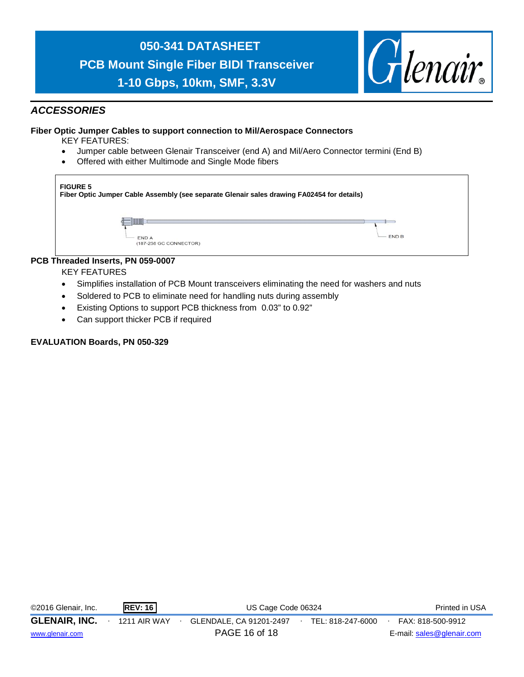

- Soldered to PCB to eliminate need for handling nuts during assembly
- Existing Options to support PCB thickness from 0.03" to 0.92"
- Can support thicker PCB if required

#### **EVALUATION Boards, PN 050-329**

| ©2016 Glenair, Inc.  | <b>REV: 16</b> | US Cage Code 06324      | Printed in USA    |                           |
|----------------------|----------------|-------------------------|-------------------|---------------------------|
| <b>GLENAIR, INC.</b> | 1211 AIR WAY   | GLENDALE, CA 91201-2497 | TEL: 818-247-6000 | FAX: 818-500-9912         |
| www.glenair.com      |                | PAGE 16 of 18           |                   | E-mail: sales@glenair.com |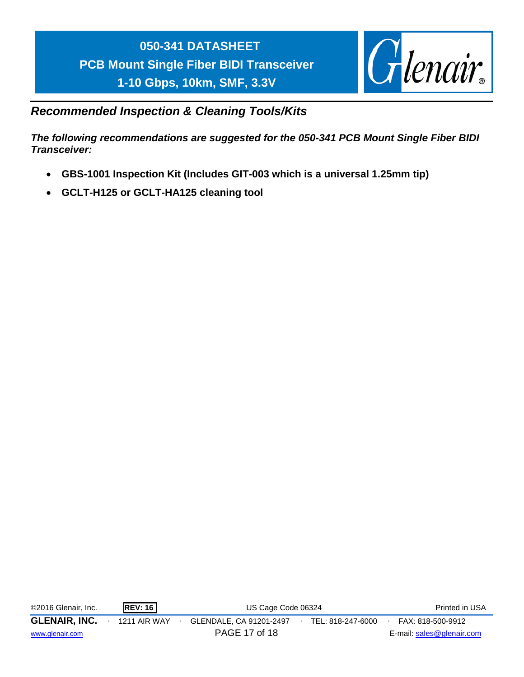

### *Recommended Inspection & Cleaning Tools/Kits*

*The following recommendations are suggested for the 050-341 PCB Mount Single Fiber BIDI Transceiver:*

- **GBS-1001 Inspection Kit (Includes GIT-003 which is a universal 1.25mm tip)**
- **GCLT-H125 or GCLT-HA125 cleaning tool**

| ©2016 Glenair, Inc.  | <b>REV: 16</b> | US Cage Code 06324      |  |                   | Printed in USA            |
|----------------------|----------------|-------------------------|--|-------------------|---------------------------|
| <b>GLENAIR, INC.</b> | 1211 AIR WAY   | GLENDALE, CA 91201-2497 |  | TEL: 818-247-6000 | FAX: 818-500-9912         |
| www.glenair.com      |                | PAGE 17 of 18           |  |                   | E-mail: sales@glenair.com |